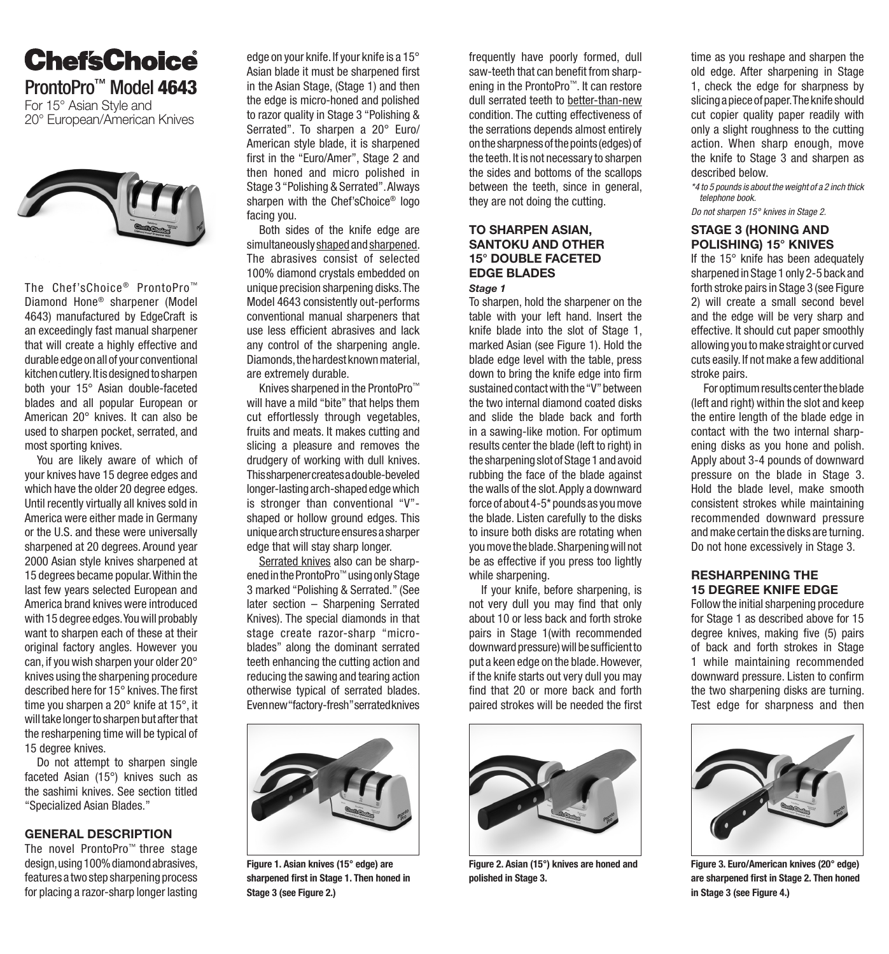# **ChefsChoice** ProntoPro<sup>™</sup> Model 4643

For 15° Asian Style and 20° European/American Knives



The Chef'sChoice® ProntoPro™ Diamond Hone® sharpener (Model 4643) manufactured by EdgeCraft is an exceedingly fast manual sharpener that will create a highly effective and durable edge on all of your conventional kitchen cutlery. It is designed to sharpen both your 15° Asian double-faceted blades and all popular European or American 20° knives. It can also be used to sharpen pocket, serrated, and most sporting knives.

You are likely aware of which of your knives have 15 degree edges and which have the older 20 degree edges. Until recently virtually all knives sold in America were either made in Germany or the U.S. and these were universally sharpened at 20 degrees. Around year 2000 Asian style knives sharpened at 15 degrees became popular. Within the last few years selected European and America brand knives were introduced with 15 degree edges. You will probably want to sharpen each of these at their original factory angles. However you can, if you wish sharpen your older 20° knives using the sharpening procedure described here for 15° knives. The first time you sharpen a 20° knife at 15°, it will take longer to sharpen but after that the resharpening time will be typical of 15 degree knives.

Do not attempt to sharpen single faceted Asian (15°) knives such as the sashimi knives. See section titled "Specialized Asian Blades."

#### GENERAL DESCRIPTION

The novel ProntoPro™ three stage design, using 100% diamond abrasives, features a two step sharpening process for placing a razor-sharp longer lasting

edge on your knife. If your knife is a 15° Asian blade it must be sharpened first in the Asian Stage, (Stage 1) and then the edge is micro-honed and polished to razor quality in Stage 3 "Polishing & Serrated". To sharpen a 20° Euro/ American style blade, it is sharpened first in the "Euro/Amer", Stage 2 and then honed and micro polished in Stage 3 "Polishing & Serrated". Always sharpen with the Chef'sChoice® logo facing you.

Both sides of the knife edge are simultaneously shaped and sharpened. The abrasives consist of selected 100% diamond crystals embedded on unique precision sharpening disks. The Model 4643 consistently out-performs conventional manual sharpeners that use less efficient abrasives and lack any control of the sharpening angle. Diamonds, the hardest known material, are extremely durable.

Knives sharpened in the ProntoPro™ will have a mild "bite" that helps them cut effortlessly through vegetables, fruits and meats. It makes cutting and slicing a pleasure and removes the drudgery of working with dull knives. This sharpener creates a double-beveled longer-lasting arch-shaped edge which is stronger than conventional "V" shaped or hollow ground edges. This unique arch structure ensures a sharper edge that will stay sharp longer.

Serrated knives also can be sharpened in the ProntoPro™ using only Stage 3 marked "Polishing & Serrated." (See later section – Sharpening Serrated Knives). The special diamonds in that stage create razor-sharp "microblades" along the dominant serrated teeth enhancing the cutting action and reducing the sawing and tearing action otherwise typical of serrated blades. Even new "factory-fresh" serrated knives



Figure 1. Asian knives (15° edge) are sharpened first in Stage 1. Then honed in Stage 3 (see Figure 2.)

frequently have poorly formed, dull saw-teeth that can benefit from sharpening in the ProntoPro™. It can restore dull serrated teeth to better-than-new condition. The cutting effectiveness of the serrations depends almost entirely on the sharpness of the points (edges) of the teeth. It is not necessary to sharpen the sides and bottoms of the scallops between the teeth, since in general, they are not doing the cutting.

# TO SHARPEN ASIAN, SANTOKU AND OTHER 15° DOUBLE FACETED EDGE BLADES

## *Stage 1*

To sharpen, hold the sharpener on the table with your left hand. Insert the knife blade into the slot of Stage 1, marked Asian (see Figure 1). Hold the blade edge level with the table, press down to bring the knife edge into firm sustained contact with the "V" between the two internal diamond coated disks and slide the blade back and forth in a sawing-like motion. For optimum results center the blade (left to right) in the sharpening slot of Stage 1 and avoid rubbing the face of the blade against the walls of the slot. Apply a downward force of about 4-5\* pounds as you move the blade. Listen carefully to the disks to insure both disks are rotating when you move the blade. Sharpening will not be as effective if you press too lightly while sharpening.

If your knife, before sharpening, is not very dull you may find that only about 10 or less back and forth stroke pairs in Stage 1(with recommended downward pressure) will be sufficient to put a keen edge on the blade. However, if the knife starts out very dull you may find that 20 or more back and forth paired strokes will be needed the first



Figure 2. Asian (15°) knives are honed and polished in Stage 3.

time as you reshape and sharpen the old edge. After sharpening in Stage 1, check the edge for sharpness by slicing a piece of paper. The knife should cut copier quality paper readily with only a slight roughness to the cutting action. When sharp enough, move the knife to Stage 3 and sharpen as described below.

*\*4 to 5 pounds is about the weight of a 2 inch thick telephone book.*

*Do not sharpen 15° knives in Stage 2.*

## STAGE 3 (HONING AND POLISHING) 15° KNIVES

If the 15° knife has been adequately sharpened in Stage 1 only 2-5 back and forth stroke pairs in Stage 3 (see Figure 2) will create a small second bevel and the edge will be very sharp and effective. It should cut paper smoothly allowing you to make straight or curved cuts easily. If not make a few additional stroke pairs.

For optimum results center the blade (left and right) within the slot and keep the entire length of the blade edge in contact with the two internal sharpening disks as you hone and polish. Apply about 3-4 pounds of downward pressure on the blade in Stage 3. Hold the blade level, make smooth consistent strokes while maintaining recommended downward pressure and make certain the disks are turning. Do not hone excessively in Stage 3.

#### RESHARPENING THE 15 DEGREE KNIFE EDGE

Follow the initial sharpening procedure for Stage 1 as described above for 15 degree knives, making five (5) pairs of back and forth strokes in Stage 1 while maintaining recommended downward pressure. Listen to confirm the two sharpening disks are turning. Test edge for sharpness and then



Figure 3. Euro/American knives (20° edge) are sharpened first in Stage 2. Then honed in Stage 3 (see Figure 4.)